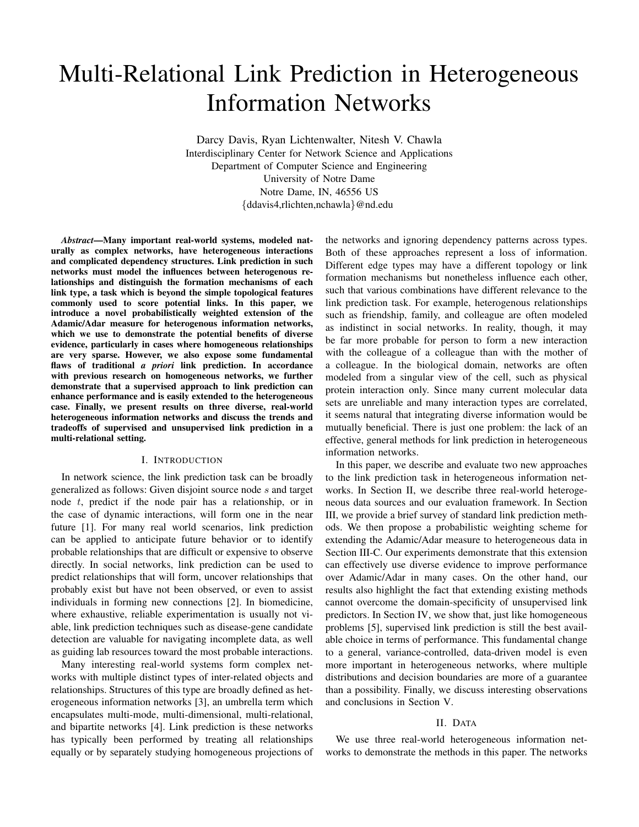# Multi-Relational Link Prediction in Heterogeneous Information Networks

Darcy Davis, Ryan Lichtenwalter, Nitesh V. Chawla Interdisciplinary Center for Network Science and Applications Department of Computer Science and Engineering University of Notre Dame Notre Dame, IN, 46556 US {ddavis4,rlichten,nchawla}@nd.edu

*Abstract*—Many important real-world systems, modeled naturally as complex networks, have heterogeneous interactions and complicated dependency structures. Link prediction in such networks must model the influences between heterogenous relationships and distinguish the formation mechanisms of each link type, a task which is beyond the simple topological features commonly used to score potential links. In this paper, we introduce a novel probabilistically weighted extension of the Adamic/Adar measure for heterogenous information networks, which we use to demonstrate the potential benefits of diverse evidence, particularly in cases where homogeneous relationships are very sparse. However, we also expose some fundamental flaws of traditional *a priori* link prediction. In accordance with previous research on homogeneous networks, we further demonstrate that a supervised approach to link prediction can enhance performance and is easily extended to the heterogeneous case. Finally, we present results on three diverse, real-world heterogeneous information networks and discuss the trends and tradeoffs of supervised and unsupervised link prediction in a multi-relational setting.

## I. INTRODUCTION

In network science, the link prediction task can be broadly generalized as follows: Given disjoint source node s and target node t, predict if the node pair has a relationship, or in the case of dynamic interactions, will form one in the near future [1]. For many real world scenarios, link prediction can be applied to anticipate future behavior or to identify probable relationships that are difficult or expensive to observe directly. In social networks, link prediction can be used to predict relationships that will form, uncover relationships that probably exist but have not been observed, or even to assist individuals in forming new connections [2]. In biomedicine, where exhaustive, reliable experimentation is usually not viable, link prediction techniques such as disease-gene candidate detection are valuable for navigating incomplete data, as well as guiding lab resources toward the most probable interactions.

Many interesting real-world systems form complex networks with multiple distinct types of inter-related objects and relationships. Structures of this type are broadly defined as heterogeneous information networks [3], an umbrella term which encapsulates multi-mode, multi-dimensional, multi-relational, and bipartite networks [4]. Link prediction is these networks has typically been performed by treating all relationships equally or by separately studying homogeneous projections of the networks and ignoring dependency patterns across types. Both of these approaches represent a loss of information. Different edge types may have a different topology or link formation mechanisms but nonetheless influence each other, such that various combinations have different relevance to the link prediction task. For example, heterogenous relationships such as friendship, family, and colleague are often modeled as indistinct in social networks. In reality, though, it may be far more probable for person to form a new interaction with the colleague of a colleague than with the mother of a colleague. In the biological domain, networks are often modeled from a singular view of the cell, such as physical protein interaction only. Since many current molecular data sets are unreliable and many interaction types are correlated, it seems natural that integrating diverse information would be mutually beneficial. There is just one problem: the lack of an effective, general methods for link prediction in heterogeneous information networks.

In this paper, we describe and evaluate two new approaches to the link prediction task in heterogeneous information networks. In Section II, we describe three real-world heterogeneous data sources and our evaluation framework. In Section III, we provide a brief survey of standard link prediction methods. We then propose a probabilistic weighting scheme for extending the Adamic/Adar measure to heterogeneous data in Section III-C. Our experiments demonstrate that this extension can effectively use diverse evidence to improve performance over Adamic/Adar in many cases. On the other hand, our results also highlight the fact that extending existing methods cannot overcome the domain-specificity of unsupervised link predictors. In Section IV, we show that, just like homogeneous problems [5], supervised link prediction is still the best available choice in terms of performance. This fundamental change to a general, variance-controlled, data-driven model is even more important in heterogeneous networks, where multiple distributions and decision boundaries are more of a guarantee than a possibility. Finally, we discuss interesting observations and conclusions in Section V.

## II. DATA

We use three real-world heterogeneous information networks to demonstrate the methods in this paper. The networks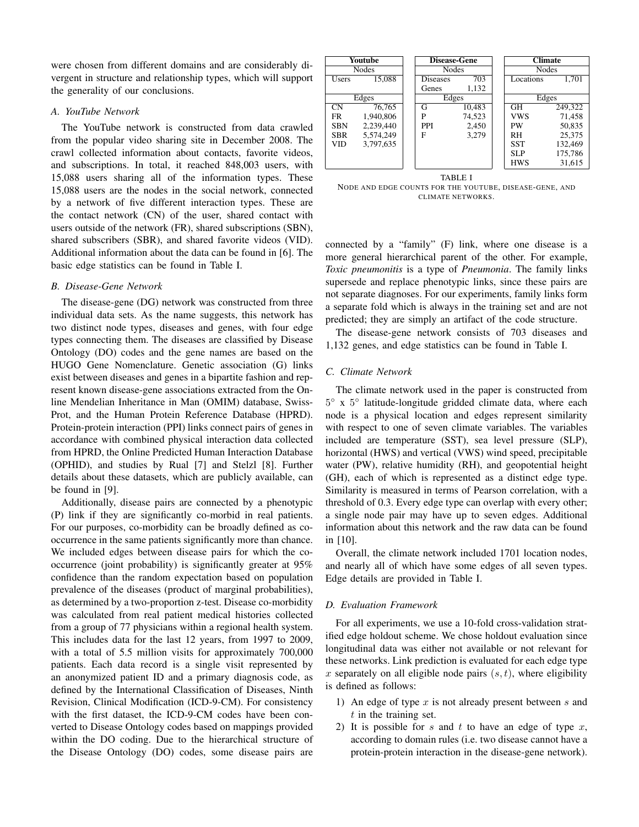were chosen from different domains and are considerably divergent in structure and relationship types, which will support the generality of our conclusions.

#### *A. YouTube Network*

The YouTube network is constructed from data crawled from the popular video sharing site in December 2008. The crawl collected information about contacts, favorite videos, and subscriptions. In total, it reached 848,003 users, with 15,088 users sharing all of the information types. These 15,088 users are the nodes in the social network, connected by a network of five different interaction types. These are the contact network (CN) of the user, shared contact with users outside of the network (FR), shared subscriptions (SBN), shared subscribers (SBR), and shared favorite videos (VID). Additional information about the data can be found in [6]. The basic edge statistics can be found in Table I.

## *B. Disease-Gene Network*

The disease-gene (DG) network was constructed from three individual data sets. As the name suggests, this network has two distinct node types, diseases and genes, with four edge types connecting them. The diseases are classified by Disease Ontology (DO) codes and the gene names are based on the HUGO Gene Nomenclature. Genetic association (G) links exist between diseases and genes in a bipartite fashion and represent known disease-gene associations extracted from the Online Mendelian Inheritance in Man (OMIM) database, Swiss-Prot, and the Human Protein Reference Database (HPRD). Protein-protein interaction (PPI) links connect pairs of genes in accordance with combined physical interaction data collected from HPRD, the Online Predicted Human Interaction Database (OPHID), and studies by Rual [7] and Stelzl [8]. Further details about these datasets, which are publicly available, can be found in [9].

Additionally, disease pairs are connected by a phenotypic (P) link if they are significantly co-morbid in real patients. For our purposes, co-morbidity can be broadly defined as cooccurrence in the same patients significantly more than chance. We included edges between disease pairs for which the cooccurrence (joint probability) is significantly greater at 95% confidence than the random expectation based on population prevalence of the diseases (product of marginal probabilities), as determined by a two-proportion z-test. Disease co-morbidity was calculated from real patient medical histories collected from a group of 77 physicians within a regional health system. This includes data for the last 12 years, from 1997 to 2009, with a total of 5.5 million visits for approximately 700,000 patients. Each data record is a single visit represented by an anonymized patient ID and a primary diagnosis code, as defined by the International Classification of Diseases, Ninth Revision, Clinical Modification (ICD-9-CM). For consistency with the first dataset, the ICD-9-CM codes have been converted to Disease Ontology codes based on mappings provided within the DO coding. Due to the hierarchical structure of the Disease Ontology (DO) codes, some disease pairs are



NODE AND EDGE COUNTS FOR THE YOUTUBE, DISEASE-GENE, AND CLIMATE NETWORKS.

connected by a "family" (F) link, where one disease is a more general hierarchical parent of the other. For example, *Toxic pneumonitis* is a type of *Pneumonia*. The family links supersede and replace phenotypic links, since these pairs are not separate diagnoses. For our experiments, family links form a separate fold which is always in the training set and are not predicted; they are simply an artifact of the code structure.

The disease-gene network consists of 703 diseases and 1,132 genes, and edge statistics can be found in Table I.

## *C. Climate Network*

The climate network used in the paper is constructed from 5 ◦ x 5 ◦ latitude-longitude gridded climate data, where each node is a physical location and edges represent similarity with respect to one of seven climate variables. The variables included are temperature (SST), sea level pressure (SLP), horizontal (HWS) and vertical (VWS) wind speed, precipitable water (PW), relative humidity (RH), and geopotential height (GH), each of which is represented as a distinct edge type. Similarity is measured in terms of Pearson correlation, with a threshold of 0.3. Every edge type can overlap with every other; a single node pair may have up to seven edges. Additional information about this network and the raw data can be found in [10].

Overall, the climate network included 1701 location nodes, and nearly all of which have some edges of all seven types. Edge details are provided in Table I.

#### *D. Evaluation Framework*

For all experiments, we use a 10-fold cross-validation stratified edge holdout scheme. We chose holdout evaluation since longitudinal data was either not available or not relevant for these networks. Link prediction is evaluated for each edge type x separately on all eligible node pairs  $(s, t)$ , where eligibility is defined as follows:

- 1) An edge of type x is not already present between s and  $t$  in the training set.
- 2) It is possible for s and t to have an edge of type x, according to domain rules (i.e. two disease cannot have a protein-protein interaction in the disease-gene network).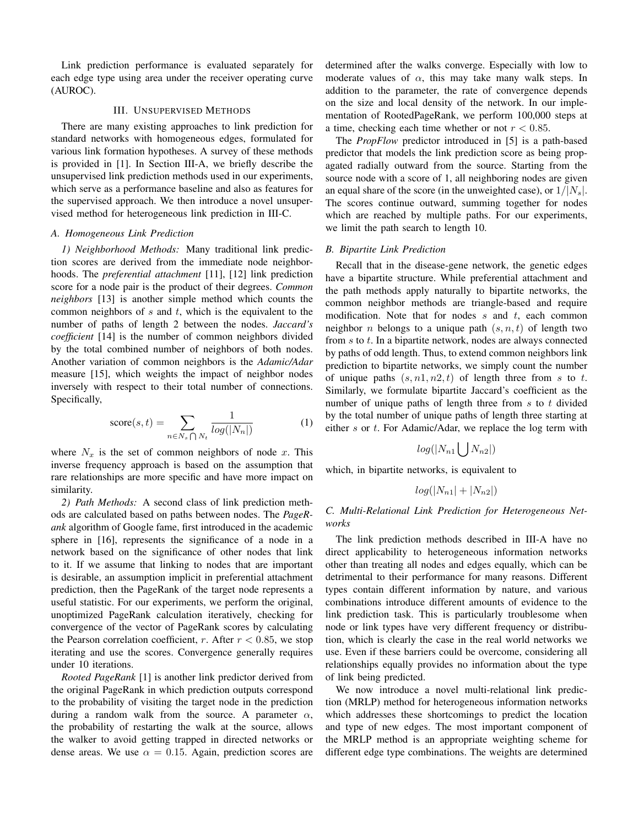Link prediction performance is evaluated separately for each edge type using area under the receiver operating curve (AUROC).

## III. UNSUPERVISED METHODS

There are many existing approaches to link prediction for standard networks with homogeneous edges, formulated for various link formation hypotheses. A survey of these methods is provided in [1]. In Section III-A, we briefly describe the unsupervised link prediction methods used in our experiments, which serve as a performance baseline and also as features for the supervised approach. We then introduce a novel unsupervised method for heterogeneous link prediction in III-C.

## *A. Homogeneous Link Prediction*

*1) Neighborhood Methods:* Many traditional link prediction scores are derived from the immediate node neighborhoods. The *preferential attachment* [11], [12] link prediction score for a node pair is the product of their degrees. *Common neighbors* [13] is another simple method which counts the common neighbors of  $s$  and  $t$ , which is the equivalent to the number of paths of length 2 between the nodes. *Jaccard's coefficient* [14] is the number of common neighbors divided by the total combined number of neighbors of both nodes. Another variation of common neighbors is the *Adamic/Adar* measure [15], which weights the impact of neighbor nodes inversely with respect to their total number of connections. Specifically,

$$
score(s,t) = \sum_{n \in N_s \bigcap N_t} \frac{1}{log(|N_n|)} \tag{1}
$$

where  $N_x$  is the set of common neighbors of node x. This inverse frequency approach is based on the assumption that rare relationships are more specific and have more impact on similarity.

*2) Path Methods:* A second class of link prediction methods are calculated based on paths between nodes. The *PageRank* algorithm of Google fame, first introduced in the academic sphere in [16], represents the significance of a node in a network based on the significance of other nodes that link to it. If we assume that linking to nodes that are important is desirable, an assumption implicit in preferential attachment prediction, then the PageRank of the target node represents a useful statistic. For our experiments, we perform the original, unoptimized PageRank calculation iteratively, checking for convergence of the vector of PageRank scores by calculating the Pearson correlation coefficient, r. After  $r < 0.85$ , we stop iterating and use the scores. Convergence generally requires under 10 iterations.

*Rooted PageRank* [1] is another link predictor derived from the original PageRank in which prediction outputs correspond to the probability of visiting the target node in the prediction during a random walk from the source. A parameter  $\alpha$ , the probability of restarting the walk at the source, allows the walker to avoid getting trapped in directed networks or dense areas. We use  $\alpha = 0.15$ . Again, prediction scores are determined after the walks converge. Especially with low to moderate values of  $\alpha$ , this may take many walk steps. In addition to the parameter, the rate of convergence depends on the size and local density of the network. In our implementation of RootedPageRank, we perform 100,000 steps at a time, checking each time whether or not  $r < 0.85$ .

The *PropFlow* predictor introduced in [5] is a path-based predictor that models the link prediction score as being propagated radially outward from the source. Starting from the source node with a score of 1, all neighboring nodes are given an equal share of the score (in the unweighted case), or  $1/|N_s|$ . The scores continue outward, summing together for nodes which are reached by multiple paths. For our experiments, we limit the path search to length 10.

## *B. Bipartite Link Prediction*

Recall that in the disease-gene network, the genetic edges have a bipartite structure. While preferential attachment and the path methods apply naturally to bipartite networks, the common neighbor methods are triangle-based and require modification. Note that for nodes  $s$  and  $t$ , each common neighbor *n* belongs to a unique path  $(s, n, t)$  of length two from  $s$  to  $t$ . In a bipartite network, nodes are always connected by paths of odd length. Thus, to extend common neighbors link prediction to bipartite networks, we simply count the number of unique paths  $(s, n1, n2, t)$  of length three from s to t. Similarly, we formulate bipartite Jaccard's coefficient as the number of unique paths of length three from  $s$  to  $t$  divided by the total number of unique paths of length three starting at either s or t. For Adamic/Adar, we replace the log term with

$$
log(|N_{n1}|)N_{n2}|)
$$

which, in bipartite networks, is equivalent to

$$
log(|N_{n1}| + |N_{n2}|)
$$

# *C. Multi-Relational Link Prediction for Heterogeneous Networks*

The link prediction methods described in III-A have no direct applicability to heterogeneous information networks other than treating all nodes and edges equally, which can be detrimental to their performance for many reasons. Different types contain different information by nature, and various combinations introduce different amounts of evidence to the link prediction task. This is particularly troublesome when node or link types have very different frequency or distribution, which is clearly the case in the real world networks we use. Even if these barriers could be overcome, considering all relationships equally provides no information about the type of link being predicted.

We now introduce a novel multi-relational link prediction (MRLP) method for heterogeneous information networks which addresses these shortcomings to predict the location and type of new edges. The most important component of the MRLP method is an appropriate weighting scheme for different edge type combinations. The weights are determined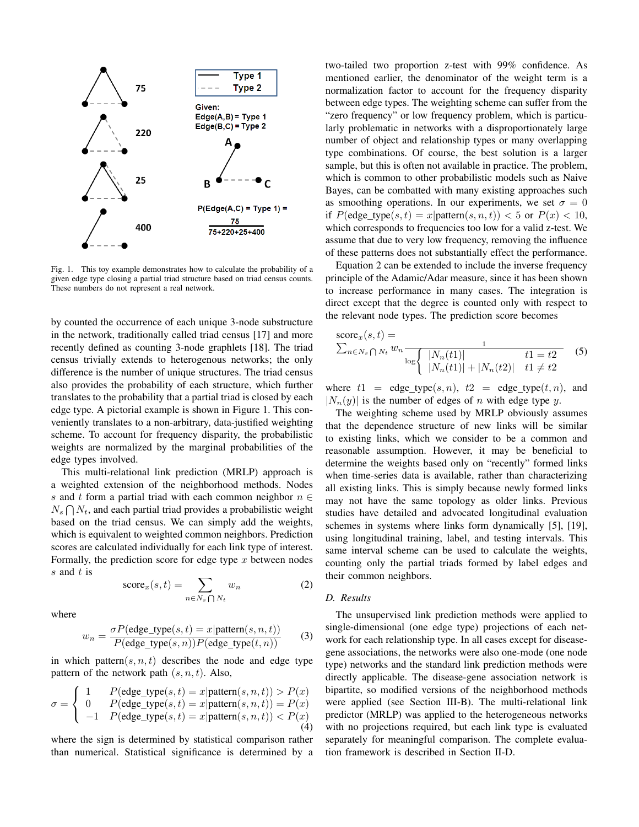

Fig. 1. This toy example demonstrates how to calculate the probability of a given edge type closing a partial triad structure based on triad census counts. These numbers do not represent a real network.

by counted the occurrence of each unique 3-node substructure in the network, traditionally called triad census [17] and more recently defined as counting 3-node graphlets [18]. The triad census trivially extends to heterogenous networks; the only difference is the number of unique structures. The triad census also provides the probability of each structure, which further translates to the probability that a partial triad is closed by each edge type. A pictorial example is shown in Figure 1. This conveniently translates to a non-arbitrary, data-justified weighting scheme. To account for frequency disparity, the probabilistic weights are normalized by the marginal probabilities of the edge types involved.

This multi-relational link prediction (MRLP) approach is a weighted extension of the neighborhood methods. Nodes s and t form a partial triad with each common neighbor  $n \in$  $N_s \bigcap N_t$ , and each partial triad provides a probabilistic weight based on the triad census. We can simply add the weights, which is equivalent to weighted common neighbors. Prediction scores are calculated individually for each link type of interest. Formally, the prediction score for edge type  $x$  between nodes s and t is

$$
score_x(s,t) = \sum_{n \in N_s \cap N_t} w_n \tag{2}
$$

where

$$
w_n = \frac{\sigma P(\text{edge\_type}(s, t) = x | \text{pattern}(s, n, t))}{P(\text{edge\_type}(s, n))P(\text{edge\_type}(t, n))}
$$
(3)

in which pattern $(s, n, t)$  describes the node and edge type pattern of the network path  $(s, n, t)$ . Also,

$$
\sigma = \begin{cases}\n1 & P(\text{edge\_type}(s, t) = x | \text{pattern}(s, n, t)) > P(x) \\
0 & P(\text{edge\_type}(s, t) = x | \text{pattern}(s, n, t)) = P(x) \\
-1 & P(\text{edge\_type}(s, t) = x | \text{pattern}(s, n, t)) < P(x) \\
\end{cases} \tag{4}
$$

where the sign is determined by statistical comparison rather than numerical. Statistical significance is determined by a two-tailed two proportion z-test with 99% confidence. As mentioned earlier, the denominator of the weight term is a normalization factor to account for the frequency disparity between edge types. The weighting scheme can suffer from the "zero frequency" or low frequency problem, which is particularly problematic in networks with a disproportionately large number of object and relationship types or many overlapping type combinations. Of course, the best solution is a larger sample, but this is often not available in practice. The problem, which is common to other probabilistic models such as Naive Bayes, can be combatted with many existing approaches such as smoothing operations. In our experiments, we set  $\sigma = 0$ if  $P(\text{edge_type}(s, t) = x | \text{pattern}(s, n, t)) < 5 \text{ or } P(x) < 10$ , which corresponds to frequencies too low for a valid z-test. We assume that due to very low frequency, removing the influence of these patterns does not substantially effect the performance.

Equation 2 can be extended to include the inverse frequency principle of the Adamic/Adar measure, since it has been shown to increase performance in many cases. The integration is direct except that the degree is counted only with respect to the relevant node types. The prediction score becomes

score<sub>x</sub>(s, t) =  
\n
$$
\sum_{n \in N_s} \bigcap_{N_t} w_n \frac{1}{\log \left\{ \frac{|N_n(t1)|}{|N_n(t1)| + |N_n(t2)|} \right\}} \quad (5)
$$

where  $t1 = \text{edge\_type}(s, n)$ ,  $t2 = \text{edge\_type}(t, n)$ , and  $|N_n(y)|$  is the number of edges of n with edge type y.

The weighting scheme used by MRLP obviously assumes that the dependence structure of new links will be similar to existing links, which we consider to be a common and reasonable assumption. However, it may be beneficial to determine the weights based only on "recently" formed links when time-series data is available, rather than characterizing all existing links. This is simply because newly formed links may not have the same topology as older links. Previous studies have detailed and advocated longitudinal evaluation schemes in systems where links form dynamically [5], [19], using longitudinal training, label, and testing intervals. This same interval scheme can be used to calculate the weights, counting only the partial triads formed by label edges and their common neighbors.

## *D. Results*

The unsupervised link prediction methods were applied to single-dimensional (one edge type) projections of each network for each relationship type. In all cases except for diseasegene associations, the networks were also one-mode (one node type) networks and the standard link prediction methods were directly applicable. The disease-gene association network is bipartite, so modified versions of the neighborhood methods were applied (see Section III-B). The multi-relational link predictor (MRLP) was applied to the heterogeneous networks with no projections required, but each link type is evaluated separately for meaningful comparison. The complete evaluation framework is described in Section II-D.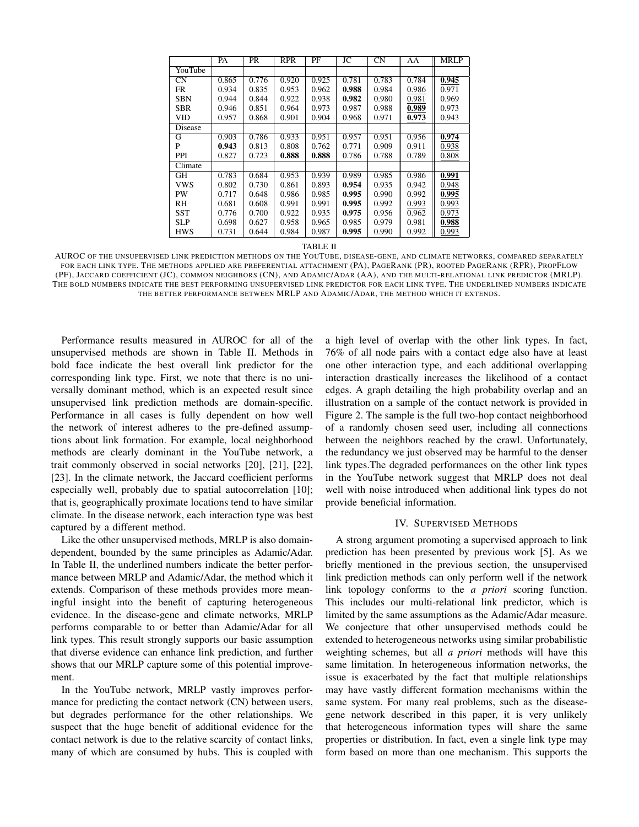|            | PA    | PR    | <b>RPR</b> | PF    | JC    | <b>CN</b> | AA    | <b>MRLP</b> |
|------------|-------|-------|------------|-------|-------|-----------|-------|-------------|
| YouTube    |       |       |            |       |       |           |       |             |
| <b>CN</b>  | 0.865 | 0.776 | 0.920      | 0.925 | 0.781 | 0.783     | 0.784 | 0.945       |
| FR         | 0.934 | 0.835 | 0.953      | 0.962 | 0.988 | 0.984     | 0.986 | 0.971       |
| <b>SBN</b> | 0.944 | 0.844 | 0.922      | 0.938 | 0.982 | 0.980     | 0.981 | 0.969       |
| SBR        | 0.946 | 0.851 | 0.964      | 0.973 | 0.987 | 0.988     | 0.989 | 0.973       |
| VID        | 0.957 | 0.868 | 0.901      | 0.904 | 0.968 | 0.971     | 0.973 | 0.943       |
| Disease    |       |       |            |       |       |           |       |             |
| G          | 0.903 | 0.786 | 0.933      | 0.951 | 0.957 | 0.951     | 0.956 | 0.974       |
| P          | 0.943 | 0.813 | 0.808      | 0.762 | 0.771 | 0.909     | 0.911 | 0.938       |
| PPI        | 0.827 | 0.723 | 0.888      | 0.888 | 0.786 | 0.788     | 0.789 | 0.808       |
| Climate    |       |       |            |       |       |           |       |             |
| GH         | 0.783 | 0.684 | 0.953      | 0.939 | 0.989 | 0.985     | 0.986 | 0.991       |
| <b>VWS</b> | 0.802 | 0.730 | 0.861      | 0.893 | 0.954 | 0.935     | 0.942 | 0.948       |
| PW         | 0.717 | 0.648 | 0.986      | 0.985 | 0.995 | 0.990     | 0.992 | 0.995       |
| RH         | 0.681 | 0.608 | 0.991      | 0.991 | 0.995 | 0.992     | 0.993 | 0.993       |
| SST        | 0.776 | 0.700 | 0.922      | 0.935 | 0.975 | 0.956     | 0.962 | 0.973       |
| <b>SLP</b> | 0.698 | 0.627 | 0.958      | 0.965 | 0.985 | 0.979     | 0.981 | 0.988       |
| <b>HWS</b> | 0.731 | 0.644 | 0.984      | 0.987 | 0.995 | 0.990     | 0.992 | 0.993       |

TABLE II

AUROC OF THE UNSUPERVISED LINK PREDICTION METHODS ON THE YOUTUBE, DISEASE-GENE, AND CLIMATE NETWORKS, COMPARED SEPARATELY FOR EACH LINK TYPE. THE METHODS APPLIED ARE PREFERENTIAL ATTACHMENT (PA), PAGERANK (PR), ROOTED PAGERANK (RPR), PROPFLOW (PF), JACCARD COEFFICIENT (JC), COMMON NEIGHBORS (CN), AND ADAMIC/ADAR (AA), AND THE MULTI-RELATIONAL LINK PREDICTOR (MRLP). THE BOLD NUMBERS INDICATE THE BEST PERFORMING UNSUPERVISED LINK PREDICTOR FOR EACH LINK TYPE. THE UNDERLINED NUMBERS INDICATE THE BETTER PERFORMANCE BETWEEN MRLP AND ADAMIC/ADAR, THE METHOD WHICH IT EXTENDS.

Performance results measured in AUROC for all of the unsupervised methods are shown in Table II. Methods in bold face indicate the best overall link predictor for the corresponding link type. First, we note that there is no universally dominant method, which is an expected result since unsupervised link prediction methods are domain-specific. Performance in all cases is fully dependent on how well the network of interest adheres to the pre-defined assumptions about link formation. For example, local neighborhood methods are clearly dominant in the YouTube network, a trait commonly observed in social networks [20], [21], [22], [23]. In the climate network, the Jaccard coefficient performs especially well, probably due to spatial autocorrelation [10]; that is, geographically proximate locations tend to have similar climate. In the disease network, each interaction type was best captured by a different method.

Like the other unsupervised methods, MRLP is also domaindependent, bounded by the same principles as Adamic/Adar. In Table II, the underlined numbers indicate the better performance between MRLP and Adamic/Adar, the method which it extends. Comparison of these methods provides more meaningful insight into the benefit of capturing heterogeneous evidence. In the disease-gene and climate networks, MRLP performs comparable to or better than Adamic/Adar for all link types. This result strongly supports our basic assumption that diverse evidence can enhance link prediction, and further shows that our MRLP capture some of this potential improvement.

In the YouTube network, MRLP vastly improves performance for predicting the contact network (CN) between users, but degrades performance for the other relationships. We suspect that the huge benefit of additional evidence for the contact network is due to the relative scarcity of contact links, many of which are consumed by hubs. This is coupled with a high level of overlap with the other link types. In fact, 76% of all node pairs with a contact edge also have at least one other interaction type, and each additional overlapping interaction drastically increases the likelihood of a contact edges. A graph detailing the high probability overlap and an illustration on a sample of the contact network is provided in Figure 2. The sample is the full two-hop contact neighborhood of a randomly chosen seed user, including all connections between the neighbors reached by the crawl. Unfortunately, the redundancy we just observed may be harmful to the denser link types.The degraded performances on the other link types in the YouTube network suggest that MRLP does not deal well with noise introduced when additional link types do not provide beneficial information.

## IV. SUPERVISED METHODS

A strong argument promoting a supervised approach to link prediction has been presented by previous work [5]. As we briefly mentioned in the previous section, the unsupervised link prediction methods can only perform well if the network link topology conforms to the *a priori* scoring function. This includes our multi-relational link predictor, which is limited by the same assumptions as the Adamic/Adar measure. We conjecture that other unsupervised methods could be extended to heterogeneous networks using similar probabilistic weighting schemes, but all *a priori* methods will have this same limitation. In heterogeneous information networks, the issue is exacerbated by the fact that multiple relationships may have vastly different formation mechanisms within the same system. For many real problems, such as the diseasegene network described in this paper, it is very unlikely that heterogeneous information types will share the same properties or distribution. In fact, even a single link type may form based on more than one mechanism. This supports the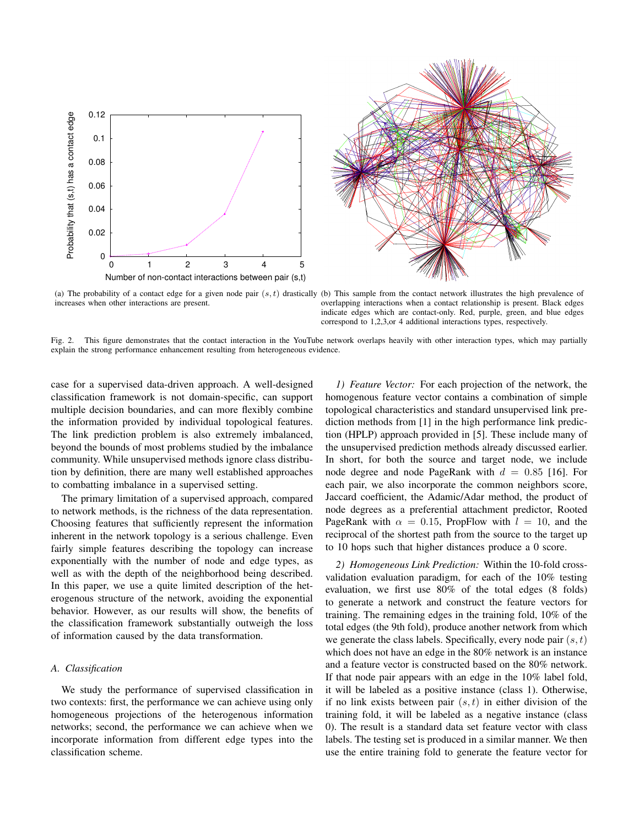



increases when other interactions are present.

(a) The probability of a contact edge for a given node pair  $(s, t)$  drastically (b) This sample from the contact network illustrates the high prevalence of overlapping interactions when a contact relationship is present. Black edges indicate edges which are contact-only. Red, purple, green, and blue edges correspond to 1,2,3,or 4 additional interactions types, respectively.

Fig. 2. This figure demonstrates that the contact interaction in the YouTube network overlaps heavily with other interaction types, which may partially explain the strong performance enhancement resulting from heterogeneous evidence.

case for a supervised data-driven approach. A well-designed classification framework is not domain-specific, can support multiple decision boundaries, and can more flexibly combine the information provided by individual topological features. The link prediction problem is also extremely imbalanced, beyond the bounds of most problems studied by the imbalance community. While unsupervised methods ignore class distribution by definition, there are many well established approaches to combatting imbalance in a supervised setting.

The primary limitation of a supervised approach, compared to network methods, is the richness of the data representation. Choosing features that sufficiently represent the information inherent in the network topology is a serious challenge. Even fairly simple features describing the topology can increase exponentially with the number of node and edge types, as well as with the depth of the neighborhood being described. In this paper, we use a quite limited description of the heterogenous structure of the network, avoiding the exponential behavior. However, as our results will show, the benefits of the classification framework substantially outweigh the loss of information caused by the data transformation.

#### *A. Classification*

We study the performance of supervised classification in two contexts: first, the performance we can achieve using only homogeneous projections of the heterogenous information networks; second, the performance we can achieve when we incorporate information from different edge types into the classification scheme.

*1) Feature Vector:* For each projection of the network, the homogenous feature vector contains a combination of simple topological characteristics and standard unsupervised link prediction methods from [1] in the high performance link prediction (HPLP) approach provided in [5]. These include many of the unsupervised prediction methods already discussed earlier. In short, for both the source and target node, we include node degree and node PageRank with  $d = 0.85$  [16]. For each pair, we also incorporate the common neighbors score, Jaccard coefficient, the Adamic/Adar method, the product of node degrees as a preferential attachment predictor, Rooted PageRank with  $\alpha = 0.15$ , PropFlow with  $l = 10$ , and the reciprocal of the shortest path from the source to the target up to 10 hops such that higher distances produce a 0 score.

*2) Homogeneous Link Prediction:* Within the 10-fold crossvalidation evaluation paradigm, for each of the 10% testing evaluation, we first use 80% of the total edges (8 folds) to generate a network and construct the feature vectors for training. The remaining edges in the training fold, 10% of the total edges (the 9th fold), produce another network from which we generate the class labels. Specifically, every node pair  $(s, t)$ which does not have an edge in the 80% network is an instance and a feature vector is constructed based on the 80% network. If that node pair appears with an edge in the 10% label fold, it will be labeled as a positive instance (class 1). Otherwise, if no link exists between pair  $(s, t)$  in either division of the training fold, it will be labeled as a negative instance (class 0). The result is a standard data set feature vector with class labels. The testing set is produced in a similar manner. We then use the entire training fold to generate the feature vector for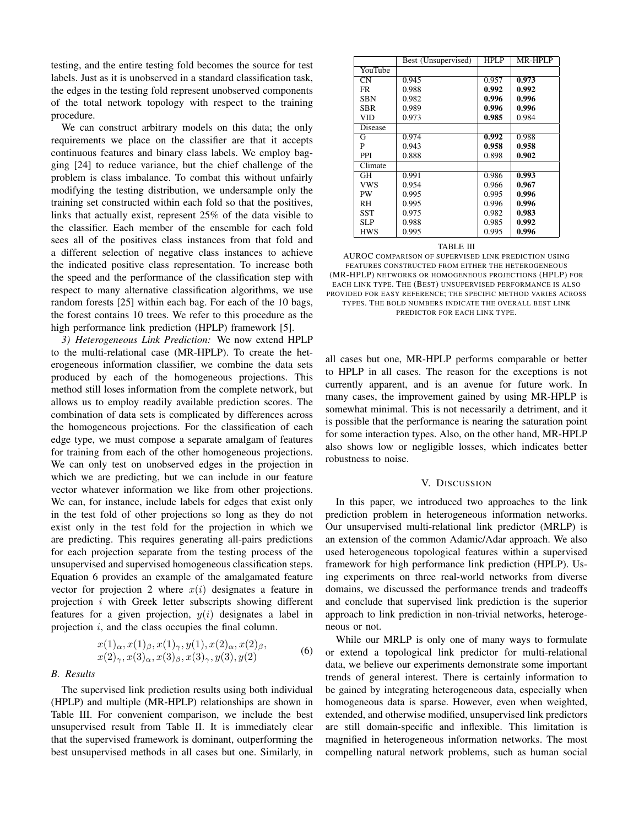testing, and the entire testing fold becomes the source for test labels. Just as it is unobserved in a standard classification task, the edges in the testing fold represent unobserved components of the total network topology with respect to the training procedure.

We can construct arbitrary models on this data; the only requirements we place on the classifier are that it accepts continuous features and binary class labels. We employ bagging [24] to reduce variance, but the chief challenge of the problem is class imbalance. To combat this without unfairly modifying the testing distribution, we undersample only the training set constructed within each fold so that the positives, links that actually exist, represent 25% of the data visible to the classifier. Each member of the ensemble for each fold sees all of the positives class instances from that fold and a different selection of negative class instances to achieve the indicated positive class representation. To increase both the speed and the performance of the classification step with respect to many alternative classification algorithms, we use random forests [25] within each bag. For each of the 10 bags, the forest contains 10 trees. We refer to this procedure as the high performance link prediction (HPLP) framework [5].

*3) Heterogeneous Link Prediction:* We now extend HPLP to the multi-relational case (MR-HPLP). To create the heterogeneous information classifier, we combine the data sets produced by each of the homogeneous projections. This method still loses information from the complete network, but allows us to employ readily available prediction scores. The combination of data sets is complicated by differences across the homogeneous projections. For the classification of each edge type, we must compose a separate amalgam of features for training from each of the other homogeneous projections. We can only test on unobserved edges in the projection in which we are predicting, but we can include in our feature vector whatever information we like from other projections. We can, for instance, include labels for edges that exist only in the test fold of other projections so long as they do not exist only in the test fold for the projection in which we are predicting. This requires generating all-pairs predictions for each projection separate from the testing process of the unsupervised and supervised homogeneous classification steps. Equation 6 provides an example of the amalgamated feature vector for projection 2 where  $x(i)$  designates a feature in projection  $i$  with Greek letter subscripts showing different features for a given projection,  $y(i)$  designates a label in projection  $i$ , and the class occupies the final column.

$$
x(1)_{\alpha}, x(1)_{\beta}, x(1)_{\gamma}, y(1), x(2)_{\alpha}, x(2)_{\beta},
$$
  
\n
$$
x(2)_{\gamma}, x(3)_{\alpha}, x(3)_{\beta}, x(3)_{\gamma}, y(3), y(2)
$$
\n(6)

#### *B. Results*

The supervised link prediction results using both individual (HPLP) and multiple (MR-HPLP) relationships are shown in Table III. For convenient comparison, we include the best unsupervised result from Table II. It is immediately clear that the supervised framework is dominant, outperforming the best unsupervised methods in all cases but one. Similarly, in

|            | Best (Unsupervised) | HPLP  | MR-HPLP |
|------------|---------------------|-------|---------|
| YouTube    |                     |       |         |
| <b>CN</b>  | 0.945               | 0.957 | 0.973   |
| <b>FR</b>  | 0.988               | 0.992 | 0.992   |
| <b>SBN</b> | 0.982               | 0.996 | 0.996   |
| SBR        | 0.989               | 0.996 | 0.996   |
| <b>VID</b> | 0.973               | 0.985 | 0.984   |
| Disease    |                     |       |         |
| G          | 0.974               | 0.992 | 0.988   |
| P          | 0.943               | 0.958 | 0.958   |
| <b>PPI</b> | 0.888               | 0.898 | 0.902   |
| Climate    |                     |       |         |
| <b>GH</b>  | 0.991               | 0.986 | 0.993   |
| <b>VWS</b> | 0.954               | 0.966 | 0.967   |
| PW         | 0.995               | 0.995 | 0.996   |
| RH         | 0.995               | 0.996 | 0.996   |
| SST        | 0.975               | 0.982 | 0.983   |
| SLP        | 0.988               | 0.985 | 0.992   |
| <b>HWS</b> | 0.995               | 0.995 | 0.996   |

#### TABLE III

AUROC COMPARISON OF SUPERVISED LINK PREDICTION USING FEATURES CONSTRUCTED FROM EITHER THE HETEROGENEOUS (MR-HPLP) NETWORKS OR HOMOGENEOUS PROJECTIONS (HPLP) FOR EACH LINK TYPE. THE (BEST) UNSUPERVISED PERFORMANCE IS ALSO PROVIDED FOR EASY REFERENCE; THE SPECIFIC METHOD VARIES ACROSS TYPES. THE BOLD NUMBERS INDICATE THE OVERALL BEST LINK PREDICTOR FOR EACH LINK TYPE.

all cases but one, MR-HPLP performs comparable or better to HPLP in all cases. The reason for the exceptions is not currently apparent, and is an avenue for future work. In many cases, the improvement gained by using MR-HPLP is somewhat minimal. This is not necessarily a detriment, and it is possible that the performance is nearing the saturation point for some interaction types. Also, on the other hand, MR-HPLP also shows low or negligible losses, which indicates better robustness to noise.

#### V. DISCUSSION

In this paper, we introduced two approaches to the link prediction problem in heterogeneous information networks. Our unsupervised multi-relational link predictor (MRLP) is an extension of the common Adamic/Adar approach. We also used heterogeneous topological features within a supervised framework for high performance link prediction (HPLP). Using experiments on three real-world networks from diverse domains, we discussed the performance trends and tradeoffs and conclude that supervised link prediction is the superior approach to link prediction in non-trivial networks, heterogeneous or not.

While our MRLP is only one of many ways to formulate or extend a topological link predictor for multi-relational data, we believe our experiments demonstrate some important trends of general interest. There is certainly information to be gained by integrating heterogeneous data, especially when homogeneous data is sparse. However, even when weighted, extended, and otherwise modified, unsupervised link predictors are still domain-specific and inflexible. This limitation is magnified in heterogeneous information networks. The most compelling natural network problems, such as human social